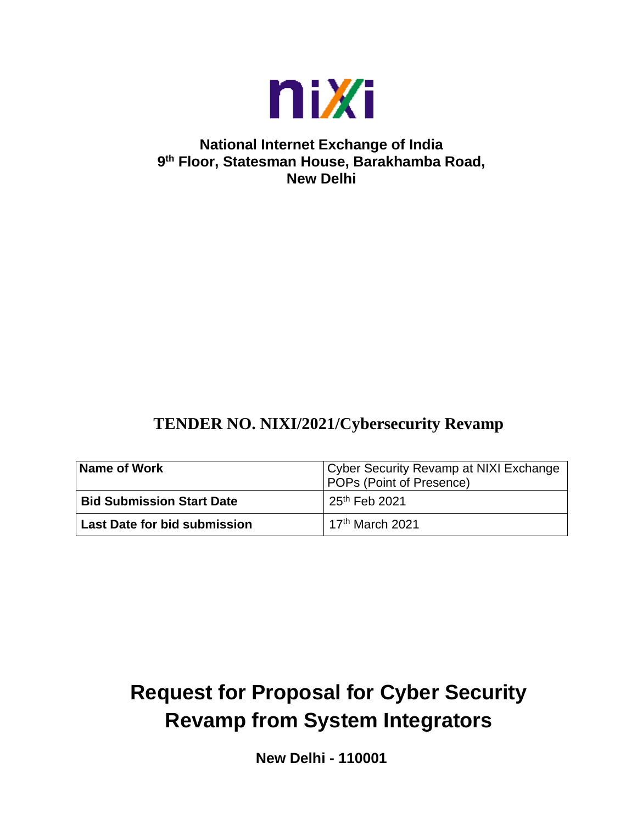

# **National Internet Exchange of India 9 th Floor, Statesman House, Barakhamba Road, New Delhi**

# **TENDER NO. NIXI/2021/Cybersecurity Revamp**

| Name of Work                     | Cyber Security Revamp at NIXI Exchange<br><b>POPs (Point of Presence)</b> |  |  |  |
|----------------------------------|---------------------------------------------------------------------------|--|--|--|
| <b>Bid Submission Start Date</b> | 25 <sup>th</sup> Feb 2021                                                 |  |  |  |
| Last Date for bid submission     | 17 <sup>th</sup> March 2021                                               |  |  |  |

# **Request for Proposal for Cyber Security Revamp from System Integrators**

**New Delhi - 110001**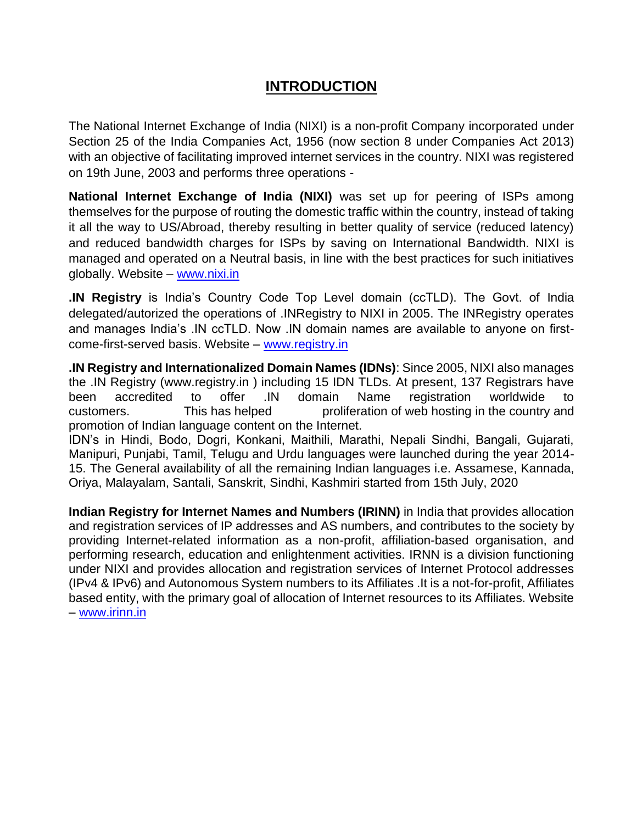# **INTRODUCTION**

The National Internet Exchange of India (NIXI) is a [non-profit](https://en.wikipedia.org/wiki/Non-profit) Company incorporated under Section 25 of the India Companies Act, 1956 (now section 8 under [Companies Act 2013\)](https://en.wikipedia.org/wiki/Companies_Act_2013) with an objective of facilitating improved internet services in the country. NIXI was registered on 19th June, 2003 and performs three operations -

**National Internet Exchange of India (NIXI)** was set up for peering of ISPs among themselves for the purpose of routing the domestic traffic within the country, instead of taking it all the way to US/Abroad, thereby resulting in better quality of service (reduced latency) and reduced bandwidth charges for ISPs by saving on International Bandwidth. NIXI is managed and operated on a Neutral basis, in line with the best practices for such initiatives globally. Website – [www.nixi.in](http://www.nixi.in/)

**.IN Registry** is India's Country Code Top Level domain (ccTLD). The Govt. of India delegated/autorized the operations of .INRegistry to NIXI in 2005. The INRegistry operates and manages India's .IN ccTLD. Now .IN domain names are available to anyone on firstcome-first-served basis. Website – [www.registry.in](http://www.registry.in/)

**.IN Registry and Internationalized Domain Names (IDNs)**: Since 2005, NIXI also manages the .IN Registry [\(www.registry.in](http://www.registry.in/) ) including 15 IDN TLDs. At present, 137 Registrars have been accredited to offer .IN domain Name registration worldwide to customers. This has helped proliferation of web hosting in the country and promotion of Indian language content on the Internet.

IDN's in Hindi, Bodo, Dogri, Konkani, Maithili, Marathi, Nepali Sindhi, Bangali, Gujarati, Manipuri, Punjabi, Tamil, Telugu and Urdu languages were launched during the year 2014- 15. The General availability of all the remaining Indian languages i.e. Assamese, Kannada, Oriya, Malayalam, Santali, Sanskrit, Sindhi, Kashmiri started from 15th July, 2020

**Indian Registry for Internet Names and Numbers (IRINN)** in India that provides allocation and registration services of IP addresses and AS numbers, and contributes to the society by providing Internet-related information as a non-profit, affiliation-based organisation, and performing research, education and enlightenment activities. IRNN is a division functioning under NIXI and provides allocation and registration services of Internet Protocol addresses (IPv4 & IPv6) and Autonomous System numbers to its Affiliates .It is a not-for-profit, Affiliates based entity, with the primary goal of allocation of Internet resources to its Affiliates. Website – [www.irinn.in](http://www.irinn.in/)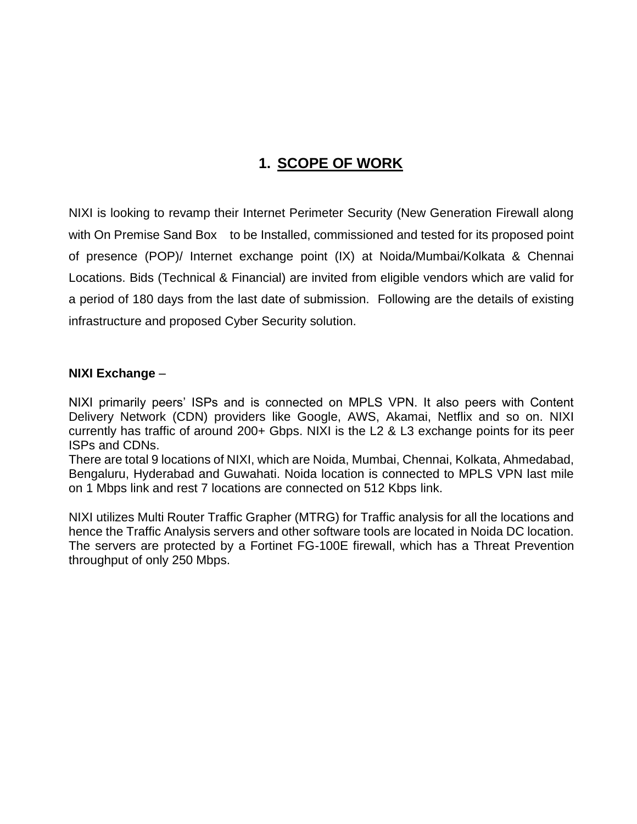# **1. SCOPE OF WORK**

NIXI is looking to revamp their Internet Perimeter Security (New Generation Firewall along with On Premise Sand Box to be Installed, commissioned and tested for its proposed point of presence (POP)/ Internet exchange point (IX) at Noida/Mumbai/Kolkata & Chennai Locations. Bids (Technical & Financial) are invited from eligible vendors which are valid for a period of 180 days from the last date of submission. Following are the details of existing infrastructure and proposed Cyber Security solution.

#### **NIXI Exchange** –

NIXI primarily peers' ISPs and is connected on MPLS VPN. It also peers with Content Delivery Network (CDN) providers like Google, AWS, Akamai, Netflix and so on. NIXI currently has traffic of around 200+ Gbps. NIXI is the L2 & L3 exchange points for its peer ISPs and CDNs.

There are total 9 locations of NIXI, which are Noida, Mumbai, Chennai, Kolkata, Ahmedabad, Bengaluru, Hyderabad and Guwahati. Noida location is connected to MPLS VPN last mile on 1 Mbps link and rest 7 locations are connected on 512 Kbps link.

NIXI utilizes Multi Router Traffic Grapher (MTRG) for Traffic analysis for all the locations and hence the Traffic Analysis servers and other software tools are located in Noida DC location. The servers are protected by a Fortinet FG-100E firewall, which has a Threat Prevention throughput of only 250 Mbps.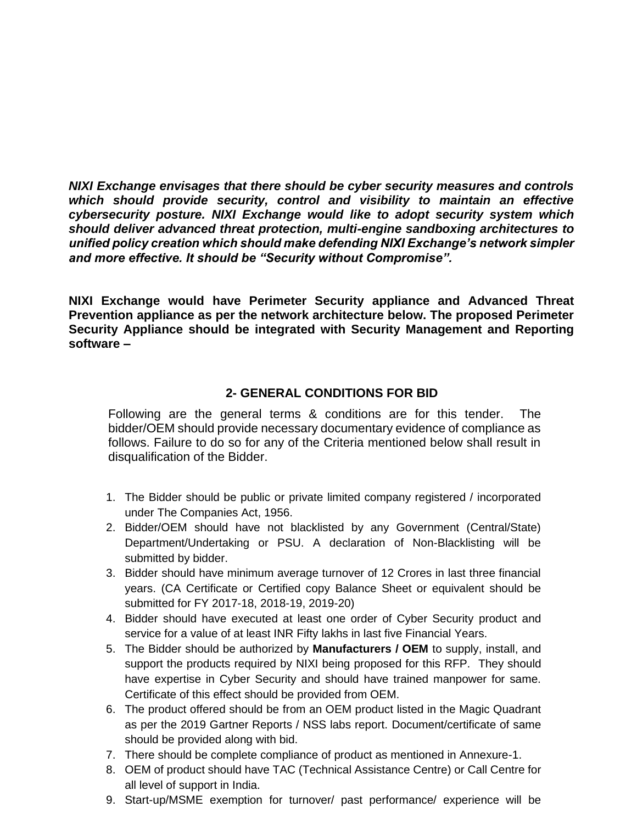*NIXI Exchange envisages that there should be cyber security measures and controls which should provide security, control and visibility to maintain an effective cybersecurity posture. NIXI Exchange would like to adopt security system which should deliver advanced threat protection, multi-engine sandboxing architectures to unified policy creation which should make defending NIXI Exchange's network simpler and more effective. It should be "Security without Compromise".*

**NIXI Exchange would have Perimeter Security appliance and Advanced Threat Prevention appliance as per the network architecture below. The proposed Perimeter Security Appliance should be integrated with Security Management and Reporting software –**

## **2- GENERAL CONDITIONS FOR BID**

Following are the general terms & conditions are for this tender. The bidder/OEM should provide necessary documentary evidence of compliance as follows. Failure to do so for any of the Criteria mentioned below shall result in disqualification of the Bidder.

- 1. The Bidder should be public or private limited company registered / incorporated under The Companies Act, 1956.
- 2. Bidder/OEM should have not blacklisted by any Government (Central/State) Department/Undertaking or PSU. A declaration of Non-Blacklisting will be submitted by bidder.
- 3. Bidder should have minimum average turnover of 12 Crores in last three financial years. (CA Certificate or Certified copy Balance Sheet or equivalent should be submitted for FY 2017-18, 2018-19, 2019-20)
- 4. Bidder should have executed at least one order of Cyber Security product and service for a value of at least INR Fifty lakhs in last five Financial Years.
- 5. The Bidder should be authorized by **Manufacturers / OEM** to supply, install, and support the products required by NIXI being proposed for this RFP. They should have expertise in Cyber Security and should have trained manpower for same. Certificate of this effect should be provided from OEM.
- 6. The product offered should be from an OEM product listed in the Magic Quadrant as per the 2019 Gartner Reports / NSS labs report. Document/certificate of same should be provided along with bid.
- 7. There should be complete compliance of product as mentioned in Annexure-1.
- 8. OEM of product should have TAC (Technical Assistance Centre) or Call Centre for all level of support in India.
- 9. Start-up/MSME exemption for turnover/ past performance/ experience will be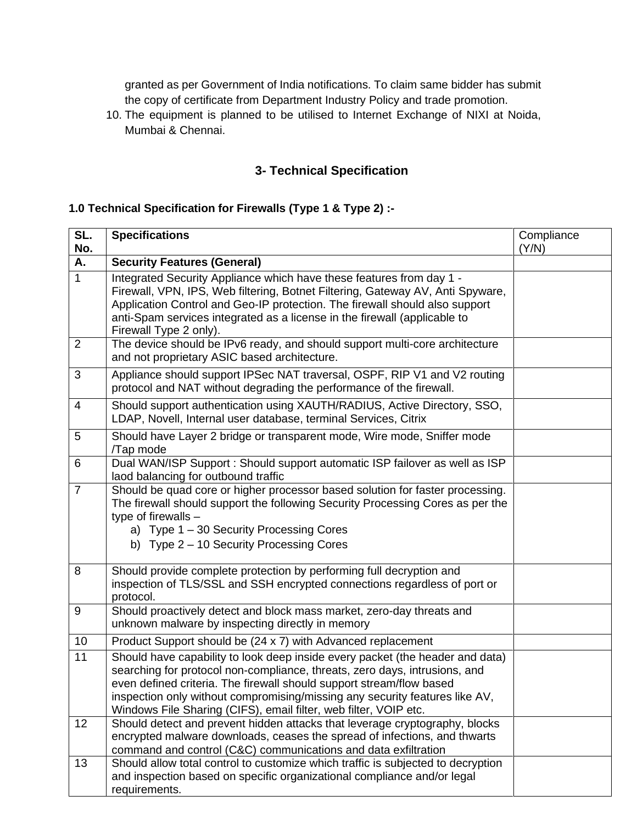granted as per Government of India notifications. To claim same bidder has submit the copy of certificate from Department Industry Policy and trade promotion.

10. The equipment is planned to be utilised to Internet Exchange of NIXI at Noida, Mumbai & Chennai.

# **3- Technical Specification**

#### **1.0 Technical Specification for Firewalls (Type 1 & Type 2) :-**

| SL.<br>No.     | <b>Specifications</b>                                                                                                                                                                                                                                                                                                                                                                  | Compliance<br>(Y/N) |
|----------------|----------------------------------------------------------------------------------------------------------------------------------------------------------------------------------------------------------------------------------------------------------------------------------------------------------------------------------------------------------------------------------------|---------------------|
| А.             | <b>Security Features (General)</b>                                                                                                                                                                                                                                                                                                                                                     |                     |
| $\mathbf{1}$   | Integrated Security Appliance which have these features from day 1 -<br>Firewall, VPN, IPS, Web filtering, Botnet Filtering, Gateway AV, Anti Spyware,<br>Application Control and Geo-IP protection. The firewall should also support<br>anti-Spam services integrated as a license in the firewall (applicable to<br>Firewall Type 2 only).                                           |                     |
| $\overline{2}$ | The device should be IPv6 ready, and should support multi-core architecture<br>and not proprietary ASIC based architecture.                                                                                                                                                                                                                                                            |                     |
| 3              | Appliance should support IPSec NAT traversal, OSPF, RIP V1 and V2 routing<br>protocol and NAT without degrading the performance of the firewall.                                                                                                                                                                                                                                       |                     |
| 4              | Should support authentication using XAUTH/RADIUS, Active Directory, SSO,<br>LDAP, Novell, Internal user database, terminal Services, Citrix                                                                                                                                                                                                                                            |                     |
| 5              | Should have Layer 2 bridge or transparent mode, Wire mode, Sniffer mode<br>/Tap mode                                                                                                                                                                                                                                                                                                   |                     |
| 6              | Dual WAN/ISP Support : Should support automatic ISP failover as well as ISP<br>laod balancing for outbound traffic                                                                                                                                                                                                                                                                     |                     |
| $\overline{7}$ | Should be quad core or higher processor based solution for faster processing.<br>The firewall should support the following Security Processing Cores as per the<br>type of firewalls $-$<br>a) Type 1 - 30 Security Processing Cores<br>b) Type 2 - 10 Security Processing Cores                                                                                                       |                     |
| 8              | Should provide complete protection by performing full decryption and<br>inspection of TLS/SSL and SSH encrypted connections regardless of port or<br>protocol.                                                                                                                                                                                                                         |                     |
| 9              | Should proactively detect and block mass market, zero-day threats and<br>unknown malware by inspecting directly in memory                                                                                                                                                                                                                                                              |                     |
| 10             | Product Support should be (24 x 7) with Advanced replacement                                                                                                                                                                                                                                                                                                                           |                     |
| 11             | Should have capability to look deep inside every packet (the header and data)<br>searching for protocol non-compliance, threats, zero days, intrusions, and<br>even defined criteria. The firewall should support stream/flow based<br>inspection only without compromising/missing any security features like AV,<br>Windows File Sharing (CIFS), email filter, web filter, VOIP etc. |                     |
| 12             | Should detect and prevent hidden attacks that leverage cryptography, blocks<br>encrypted malware downloads, ceases the spread of infections, and thwarts<br>command and control (C&C) communications and data exfiltration                                                                                                                                                             |                     |
| 13             | Should allow total control to customize which traffic is subjected to decryption<br>and inspection based on specific organizational compliance and/or legal<br>requirements.                                                                                                                                                                                                           |                     |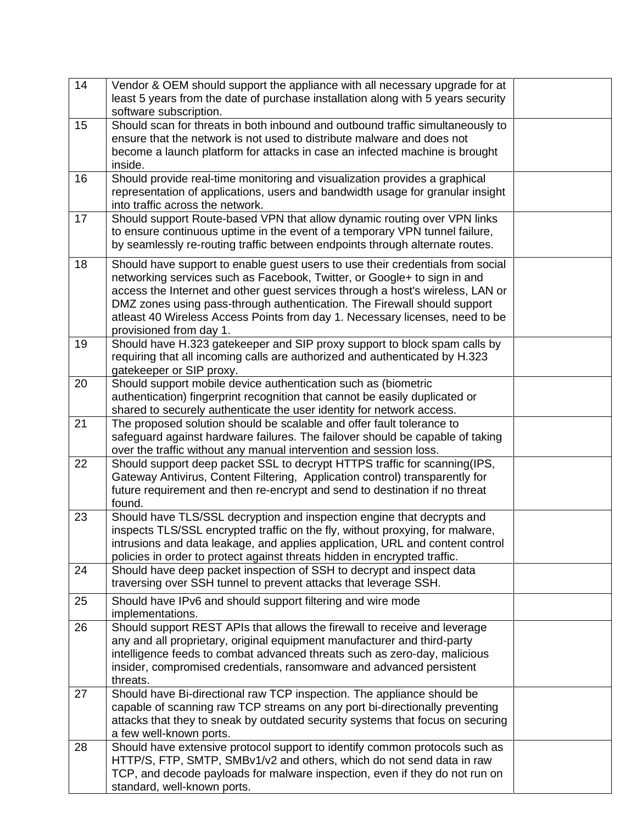| 14 | Vendor & OEM should support the appliance with all necessary upgrade for at                                                                   |  |
|----|-----------------------------------------------------------------------------------------------------------------------------------------------|--|
|    | least 5 years from the date of purchase installation along with 5 years security                                                              |  |
|    | software subscription.                                                                                                                        |  |
| 15 | Should scan for threats in both inbound and outbound traffic simultaneously to                                                                |  |
|    | ensure that the network is not used to distribute malware and does not                                                                        |  |
|    | become a launch platform for attacks in case an infected machine is brought                                                                   |  |
|    | inside.                                                                                                                                       |  |
| 16 | Should provide real-time monitoring and visualization provides a graphical                                                                    |  |
|    | representation of applications, users and bandwidth usage for granular insight                                                                |  |
|    | into traffic across the network.                                                                                                              |  |
| 17 | Should support Route-based VPN that allow dynamic routing over VPN links                                                                      |  |
|    | to ensure continuous uptime in the event of a temporary VPN tunnel failure,                                                                   |  |
|    | by seamlessly re-routing traffic between endpoints through alternate routes.                                                                  |  |
| 18 | Should have support to enable guest users to use their credentials from social                                                                |  |
|    | networking services such as Facebook, Twitter, or Google+ to sign in and                                                                      |  |
|    | access the Internet and other guest services through a host's wireless, LAN or                                                                |  |
|    | DMZ zones using pass-through authentication. The Firewall should support                                                                      |  |
|    | atleast 40 Wireless Access Points from day 1. Necessary licenses, need to be                                                                  |  |
|    | provisioned from day 1.                                                                                                                       |  |
| 19 | Should have H.323 gatekeeper and SIP proxy support to block spam calls by                                                                     |  |
|    | requiring that all incoming calls are authorized and authenticated by H.323                                                                   |  |
|    | gatekeeper or SIP proxy.                                                                                                                      |  |
| 20 | Should support mobile device authentication such as (biometric<br>authentication) fingerprint recognition that cannot be easily duplicated or |  |
|    | shared to securely authenticate the user identity for network access.                                                                         |  |
| 21 | The proposed solution should be scalable and offer fault tolerance to                                                                         |  |
|    | safeguard against hardware failures. The failover should be capable of taking                                                                 |  |
|    | over the traffic without any manual intervention and session loss.                                                                            |  |
| 22 | Should support deep packet SSL to decrypt HTTPS traffic for scanning (IPS,                                                                    |  |
|    | Gateway Antivirus, Content Filtering, Application control) transparently for                                                                  |  |
|    | future requirement and then re-encrypt and send to destination if no threat                                                                   |  |
|    | found.                                                                                                                                        |  |
| 23 | Should have TLS/SSL decryption and inspection engine that decrypts and                                                                        |  |
|    | inspects TLS/SSL encrypted traffic on the fly, without proxying, for malware,                                                                 |  |
|    | intrusions and data leakage, and applies application, URL and content control                                                                 |  |
|    | policies in order to protect against threats hidden in encrypted traffic.                                                                     |  |
| 24 | Should have deep packet inspection of SSH to decrypt and inspect data                                                                         |  |
|    | traversing over SSH tunnel to prevent attacks that leverage SSH.                                                                              |  |
| 25 | Should have IPv6 and should support filtering and wire mode                                                                                   |  |
|    | implementations.                                                                                                                              |  |
| 26 | Should support REST APIs that allows the firewall to receive and leverage                                                                     |  |
|    | any and all proprietary, original equipment manufacturer and third-party                                                                      |  |
|    | intelligence feeds to combat advanced threats such as zero-day, malicious                                                                     |  |
|    | insider, compromised credentials, ransomware and advanced persistent                                                                          |  |
| 27 | threats.<br>Should have Bi-directional raw TCP inspection. The appliance should be                                                            |  |
|    | capable of scanning raw TCP streams on any port bi-directionally preventing                                                                   |  |
|    | attacks that they to sneak by outdated security systems that focus on securing                                                                |  |
|    | a few well-known ports.                                                                                                                       |  |
| 28 | Should have extensive protocol support to identify common protocols such as                                                                   |  |
|    | HTTP/S, FTP, SMTP, SMBv1/v2 and others, which do not send data in raw                                                                         |  |
|    | TCP, and decode payloads for malware inspection, even if they do not run on                                                                   |  |
|    | standard, well-known ports.                                                                                                                   |  |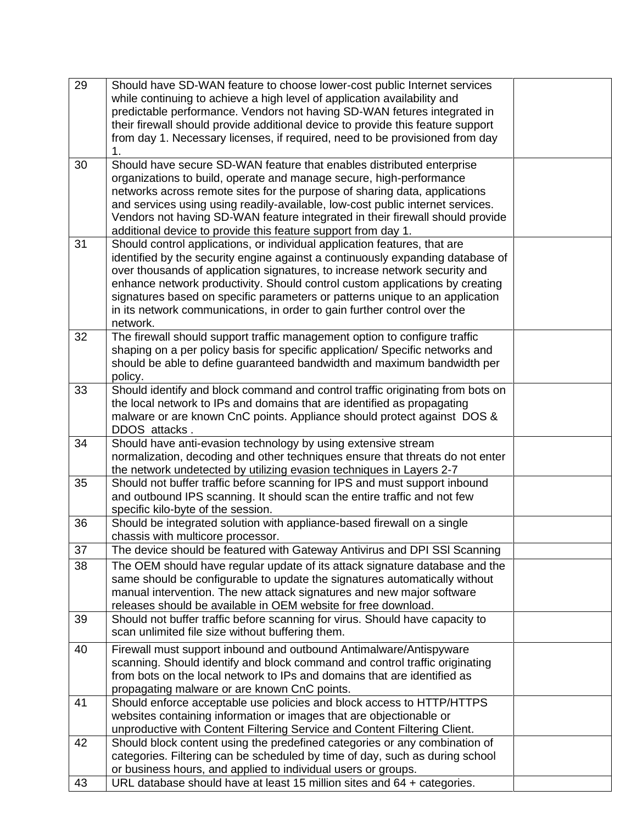| 29 | Should have SD-WAN feature to choose lower-cost public Internet services                                                                           |  |
|----|----------------------------------------------------------------------------------------------------------------------------------------------------|--|
|    | while continuing to achieve a high level of application availability and                                                                           |  |
|    | predictable performance. Vendors not having SD-WAN fetures integrated in                                                                           |  |
|    | their firewall should provide additional device to provide this feature support                                                                    |  |
|    | from day 1. Necessary licenses, if required, need to be provisioned from day                                                                       |  |
|    | 1.                                                                                                                                                 |  |
| 30 | Should have secure SD-WAN feature that enables distributed enterprise                                                                              |  |
|    | organizations to build, operate and manage secure, high-performance                                                                                |  |
|    | networks across remote sites for the purpose of sharing data, applications                                                                         |  |
|    | and services using using readily-available, low-cost public internet services.                                                                     |  |
|    | Vendors not having SD-WAN feature integrated in their firewall should provide                                                                      |  |
|    | additional device to provide this feature support from day 1.                                                                                      |  |
| 31 | Should control applications, or individual application features, that are                                                                          |  |
|    | identified by the security engine against a continuously expanding database of                                                                     |  |
|    | over thousands of application signatures, to increase network security and                                                                         |  |
|    | enhance network productivity. Should control custom applications by creating                                                                       |  |
|    | signatures based on specific parameters or patterns unique to an application                                                                       |  |
|    | in its network communications, in order to gain further control over the                                                                           |  |
|    | network.                                                                                                                                           |  |
| 32 | The firewall should support traffic management option to configure traffic                                                                         |  |
|    | shaping on a per policy basis for specific application/ Specific networks and                                                                      |  |
|    | should be able to define guaranteed bandwidth and maximum bandwidth per                                                                            |  |
|    | policy.                                                                                                                                            |  |
| 33 | Should identify and block command and control traffic originating from bots on                                                                     |  |
|    |                                                                                                                                                    |  |
|    | the local network to IPs and domains that are identified as propagating                                                                            |  |
|    | malware or are known CnC points. Appliance should protect against DOS &<br>DDOS attacks.                                                           |  |
| 34 | Should have anti-evasion technology by using extensive stream                                                                                      |  |
|    | normalization, decoding and other techniques ensure that threats do not enter                                                                      |  |
|    |                                                                                                                                                    |  |
| 35 | the network undetected by utilizing evasion techniques in Layers 2-7<br>Should not buffer traffic before scanning for IPS and must support inbound |  |
|    | and outbound IPS scanning. It should scan the entire traffic and not few                                                                           |  |
|    |                                                                                                                                                    |  |
|    | specific kilo-byte of the session.                                                                                                                 |  |
| 36 | Should be integrated solution with appliance-based firewall on a single                                                                            |  |
|    | chassis with multicore processor.                                                                                                                  |  |
| 37 | The device should be featured with Gateway Antivirus and DPI SSI Scanning                                                                          |  |
| 38 | The OEM should have regular update of its attack signature database and the                                                                        |  |
|    | same should be configurable to update the signatures automatically without                                                                         |  |
|    | manual intervention. The new attack signatures and new major software                                                                              |  |
|    | releases should be available in OEM website for free download.                                                                                     |  |
| 39 | Should not buffer traffic before scanning for virus. Should have capacity to                                                                       |  |
|    | scan unlimited file size without buffering them.                                                                                                   |  |
| 40 | Firewall must support inbound and outbound Antimalware/Antispyware                                                                                 |  |
|    | scanning. Should identify and block command and control traffic originating                                                                        |  |
|    | from bots on the local network to IPs and domains that are identified as                                                                           |  |
|    | propagating malware or are known CnC points.                                                                                                       |  |
| 41 | Should enforce acceptable use policies and block access to HTTP/HTTPS                                                                              |  |
|    | websites containing information or images that are objectionable or                                                                                |  |
|    | unproductive with Content Filtering Service and Content Filtering Client.                                                                          |  |
| 42 | Should block content using the predefined categories or any combination of                                                                         |  |
|    | categories. Filtering can be scheduled by time of day, such as during school                                                                       |  |
|    | or business hours, and applied to individual users or groups.                                                                                      |  |
| 43 | URL database should have at least 15 million sites and 64 + categories.                                                                            |  |
|    |                                                                                                                                                    |  |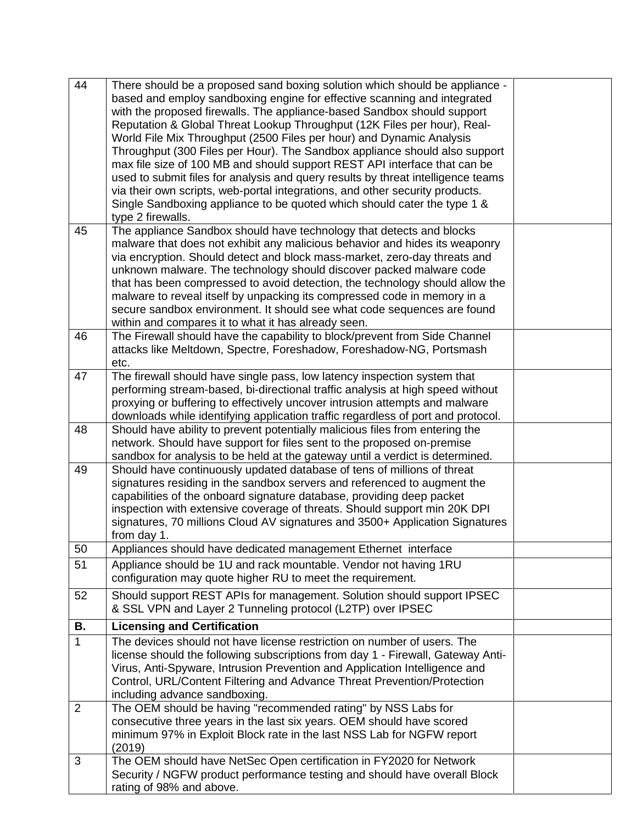| 44             | There should be a proposed sand boxing solution which should be appliance -      |  |
|----------------|----------------------------------------------------------------------------------|--|
|                | based and employ sandboxing engine for effective scanning and integrated         |  |
|                | with the proposed firewalls. The appliance-based Sandbox should support          |  |
|                | Reputation & Global Threat Lookup Throughput (12K Files per hour), Real-         |  |
|                | World File Mix Throughput (2500 Files per hour) and Dynamic Analysis             |  |
|                | Throughput (300 Files per Hour). The Sandbox appliance should also support       |  |
|                | max file size of 100 MB and should support REST API interface that can be        |  |
|                | used to submit files for analysis and query results by threat intelligence teams |  |
|                | via their own scripts, web-portal integrations, and other security products.     |  |
|                | Single Sandboxing appliance to be quoted which should cater the type 1 &         |  |
|                | type 2 firewalls.                                                                |  |
| 45             | The appliance Sandbox should have technology that detects and blocks             |  |
|                | malware that does not exhibit any malicious behavior and hides its weaponry      |  |
|                | via encryption. Should detect and block mass-market, zero-day threats and        |  |
|                | unknown malware. The technology should discover packed malware code              |  |
|                | that has been compressed to avoid detection, the technology should allow the     |  |
|                | malware to reveal itself by unpacking its compressed code in memory in a         |  |
|                | secure sandbox environment. It should see what code sequences are found          |  |
|                | within and compares it to what it has already seen.                              |  |
| 46             | The Firewall should have the capability to block/prevent from Side Channel       |  |
|                | attacks like Meltdown, Spectre, Foreshadow, Foreshadow-NG, Portsmash             |  |
|                | etc.                                                                             |  |
| 47             | The firewall should have single pass, low latency inspection system that         |  |
|                | performing stream-based, bi-directional traffic analysis at high speed without   |  |
|                | proxying or buffering to effectively uncover intrusion attempts and malware      |  |
|                | downloads while identifying application traffic regardless of port and protocol. |  |
| 48             | Should have ability to prevent potentially malicious files from entering the     |  |
|                | network. Should have support for files sent to the proposed on-premise           |  |
|                | sandbox for analysis to be held at the gateway until a verdict is determined.    |  |
| 49             | Should have continuously updated database of tens of millions of threat          |  |
|                | signatures residing in the sandbox servers and referenced to augment the         |  |
|                | capabilities of the onboard signature database, providing deep packet            |  |
|                | inspection with extensive coverage of threats. Should support min 20K DPI        |  |
|                | signatures, 70 millions Cloud AV signatures and 3500+ Application Signatures     |  |
|                | from day 1.                                                                      |  |
| 50             | Appliances should have dedicated management Ethernet interface                   |  |
| 51             | Appliance should be 1U and rack mountable. Vendor not having 1RU                 |  |
|                | configuration may quote higher RU to meet the requirement.                       |  |
| 52             | Should support REST APIs for management. Solution should support IPSEC           |  |
|                | & SSL VPN and Layer 2 Tunneling protocol (L2TP) over IPSEC                       |  |
| <b>B.</b>      | <b>Licensing and Certification</b>                                               |  |
| $\mathbf{1}$   | The devices should not have license restriction on number of users. The          |  |
|                | license should the following subscriptions from day 1 - Firewall, Gateway Anti-  |  |
|                | Virus, Anti-Spyware, Intrusion Prevention and Application Intelligence and       |  |
|                | Control, URL/Content Filtering and Advance Threat Prevention/Protection          |  |
|                | including advance sandboxing.                                                    |  |
| $\overline{2}$ | The OEM should be having "recommended rating" by NSS Labs for                    |  |
|                | consecutive three years in the last six years. OEM should have scored            |  |
|                | minimum 97% in Exploit Block rate in the last NSS Lab for NGFW report            |  |
|                | (2019)                                                                           |  |
| 3              | The OEM should have NetSec Open certification in FY2020 for Network              |  |
|                | Security / NGFW product performance testing and should have overall Block        |  |
|                | rating of 98% and above.                                                         |  |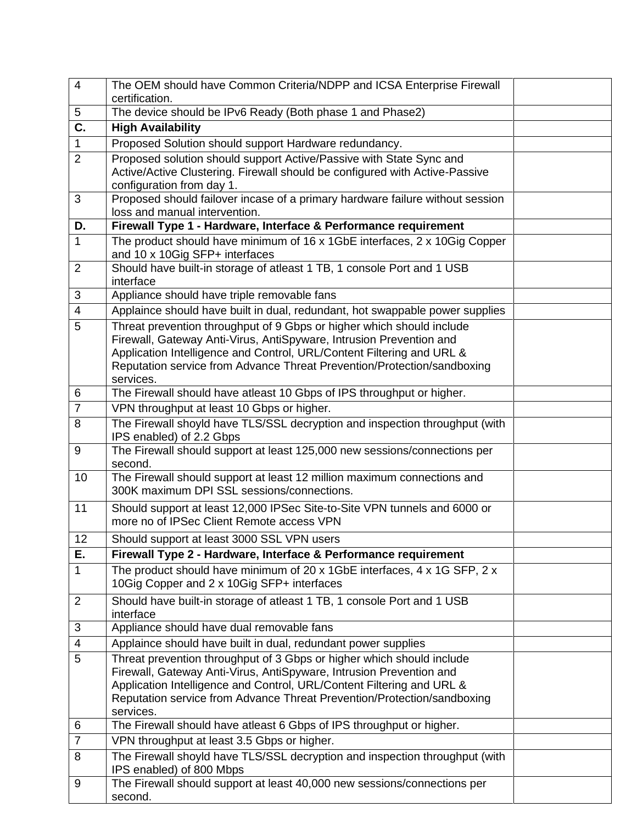| $\overline{4}$            | The OEM should have Common Criteria/NDPP and ICSA Enterprise Firewall<br>certification.                                                                                                                                                                                                                       |  |
|---------------------------|---------------------------------------------------------------------------------------------------------------------------------------------------------------------------------------------------------------------------------------------------------------------------------------------------------------|--|
| 5                         | The device should be IPv6 Ready (Both phase 1 and Phase2)                                                                                                                                                                                                                                                     |  |
| $\overline{\mathsf{C}}$ . | <b>High Availability</b>                                                                                                                                                                                                                                                                                      |  |
| $\mathbf{1}$              | Proposed Solution should support Hardware redundancy.                                                                                                                                                                                                                                                         |  |
| $\overline{2}$            | Proposed solution should support Active/Passive with State Sync and<br>Active/Active Clustering. Firewall should be configured with Active-Passive<br>configuration from day 1.                                                                                                                               |  |
| 3                         | Proposed should failover incase of a primary hardware failure without session<br>loss and manual intervention.                                                                                                                                                                                                |  |
| D.                        | Firewall Type 1 - Hardware, Interface & Performance requirement                                                                                                                                                                                                                                               |  |
| $\mathbf{1}$              | The product should have minimum of 16 x 1GbE interfaces, 2 x 10Gig Copper<br>and 10 x 10Gig SFP+ interfaces                                                                                                                                                                                                   |  |
| $\overline{2}$            | Should have built-in storage of atleast 1 TB, 1 console Port and 1 USB<br>interface                                                                                                                                                                                                                           |  |
| 3                         | Appliance should have triple removable fans                                                                                                                                                                                                                                                                   |  |
| $\overline{4}$            | Applaince should have built in dual, redundant, hot swappable power supplies                                                                                                                                                                                                                                  |  |
| 5                         | Threat prevention throughput of 9 Gbps or higher which should include<br>Firewall, Gateway Anti-Virus, AntiSpyware, Intrusion Prevention and<br>Application Intelligence and Control, URL/Content Filtering and URL &<br>Reputation service from Advance Threat Prevention/Protection/sandboxing<br>services. |  |
| 6                         | The Firewall should have atleast 10 Gbps of IPS throughput or higher.                                                                                                                                                                                                                                         |  |
| $\overline{7}$            | VPN throughput at least 10 Gbps or higher.                                                                                                                                                                                                                                                                    |  |
| 8                         | The Firewall shoyld have TLS/SSL decryption and inspection throughput (with<br>IPS enabled) of 2.2 Gbps                                                                                                                                                                                                       |  |
| 9                         | The Firewall should support at least 125,000 new sessions/connections per<br>second.                                                                                                                                                                                                                          |  |
| 10                        | The Firewall should support at least 12 million maximum connections and<br>300K maximum DPI SSL sessions/connections.                                                                                                                                                                                         |  |
| 11                        | Should support at least 12,000 IPSec Site-to-Site VPN tunnels and 6000 or<br>more no of IPSec Client Remote access VPN                                                                                                                                                                                        |  |
| 12                        | Should support at least 3000 SSL VPN users                                                                                                                                                                                                                                                                    |  |
| E.                        | Firewall Type 2 - Hardware, Interface & Performance requirement                                                                                                                                                                                                                                               |  |
| $\mathbf{1}$              | The product should have minimum of 20 x 1GbE interfaces, 4 x 1G SFP, 2 x<br>10Gig Copper and 2 x 10Gig SFP+ interfaces                                                                                                                                                                                        |  |
| $\overline{2}$            | Should have built-in storage of atleast 1 TB, 1 console Port and 1 USB<br>interface                                                                                                                                                                                                                           |  |
| 3                         | Appliance should have dual removable fans                                                                                                                                                                                                                                                                     |  |
| $\overline{\mathcal{A}}$  | Applaince should have built in dual, redundant power supplies                                                                                                                                                                                                                                                 |  |
| 5                         | Threat prevention throughput of 3 Gbps or higher which should include<br>Firewall, Gateway Anti-Virus, AntiSpyware, Intrusion Prevention and<br>Application Intelligence and Control, URL/Content Filtering and URL &<br>Reputation service from Advance Threat Prevention/Protection/sandboxing<br>services. |  |
| 6                         | The Firewall should have atleast 6 Gbps of IPS throughput or higher.                                                                                                                                                                                                                                          |  |
| $\overline{7}$            | VPN throughput at least 3.5 Gbps or higher.                                                                                                                                                                                                                                                                   |  |
| 8                         | The Firewall shoyld have TLS/SSL decryption and inspection throughput (with<br>IPS enabled) of 800 Mbps                                                                                                                                                                                                       |  |
| 9                         | The Firewall should support at least 40,000 new sessions/connections per<br>second.                                                                                                                                                                                                                           |  |

I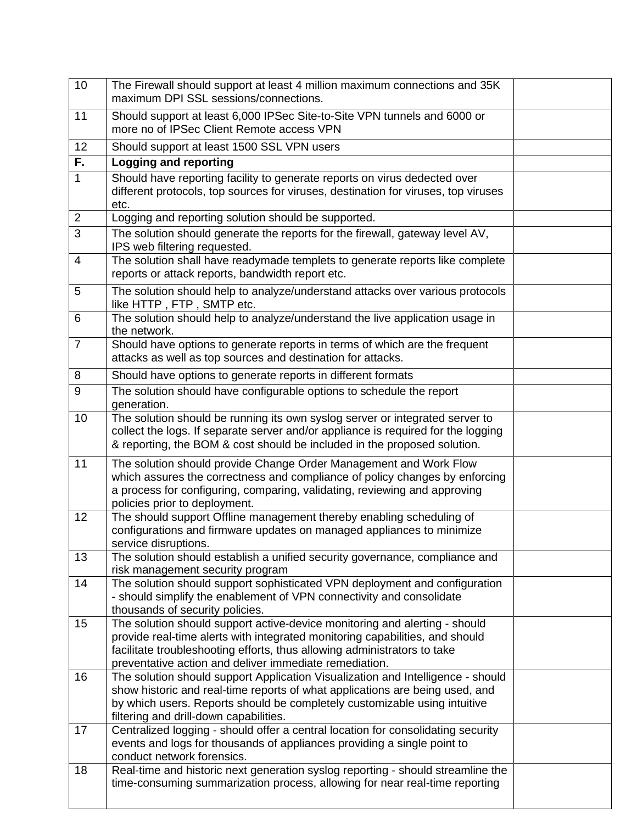| 10                       | The Firewall should support at least 4 million maximum connections and 35K<br>maximum DPI SSL sessions/connections.                                                                                                                                                                              |  |
|--------------------------|--------------------------------------------------------------------------------------------------------------------------------------------------------------------------------------------------------------------------------------------------------------------------------------------------|--|
| 11                       | Should support at least 6,000 IPSec Site-to-Site VPN tunnels and 6000 or<br>more no of IPSec Client Remote access VPN                                                                                                                                                                            |  |
| 12                       | Should support at least 1500 SSL VPN users                                                                                                                                                                                                                                                       |  |
| F.                       | <b>Logging and reporting</b>                                                                                                                                                                                                                                                                     |  |
| $\overline{1}$           | Should have reporting facility to generate reports on virus dedected over<br>different protocols, top sources for viruses, destination for viruses, top viruses<br>etc.                                                                                                                          |  |
| $\overline{2}$           | Logging and reporting solution should be supported.                                                                                                                                                                                                                                              |  |
| $\overline{3}$           | The solution should generate the reports for the firewall, gateway level AV,<br>IPS web filtering requested.                                                                                                                                                                                     |  |
| $\overline{\mathcal{A}}$ | The solution shall have readymade templets to generate reports like complete<br>reports or attack reports, bandwidth report etc.                                                                                                                                                                 |  |
| 5                        | The solution should help to analyze/understand attacks over various protocols<br>like HTTP, FTP, SMTP etc.                                                                                                                                                                                       |  |
| 6                        | The solution should help to analyze/understand the live application usage in<br>the network.                                                                                                                                                                                                     |  |
| $\overline{7}$           | Should have options to generate reports in terms of which are the frequent<br>attacks as well as top sources and destination for attacks.                                                                                                                                                        |  |
| 8                        | Should have options to generate reports in different formats                                                                                                                                                                                                                                     |  |
| 9                        | The solution should have configurable options to schedule the report<br>generation.                                                                                                                                                                                                              |  |
| 10                       | The solution should be running its own syslog server or integrated server to<br>collect the logs. If separate server and/or appliance is required for the logging<br>& reporting, the BOM & cost should be included in the proposed solution.                                                    |  |
| 11                       | The solution should provide Change Order Management and Work Flow<br>which assures the correctness and compliance of policy changes by enforcing<br>a process for configuring, comparing, validating, reviewing and approving<br>policies prior to deployment.                                   |  |
| 12                       | The should support Offline management thereby enabling scheduling of<br>configurations and firmware updates on managed appliances to minimize<br>service disruptions.                                                                                                                            |  |
| 13                       | The solution should establish a unified security governance, compliance and<br>risk management security program                                                                                                                                                                                  |  |
| 14                       | The solution should support sophisticated VPN deployment and configuration<br>- should simplify the enablement of VPN connectivity and consolidate<br>thousands of security policies.                                                                                                            |  |
| 15                       | The solution should support active-device monitoring and alerting - should<br>provide real-time alerts with integrated monitoring capabilities, and should<br>facilitate troubleshooting efforts, thus allowing administrators to take<br>preventative action and deliver immediate remediation. |  |
| 16                       | The solution should support Application Visualization and Intelligence - should<br>show historic and real-time reports of what applications are being used, and<br>by which users. Reports should be completely customizable using intuitive<br>filtering and drill-down capabilities.           |  |
| 17                       | Centralized logging - should offer a central location for consolidating security<br>events and logs for thousands of appliances providing a single point to<br>conduct network forensics.                                                                                                        |  |
| 18                       | Real-time and historic next generation syslog reporting - should streamline the<br>time-consuming summarization process, allowing for near real-time reporting                                                                                                                                   |  |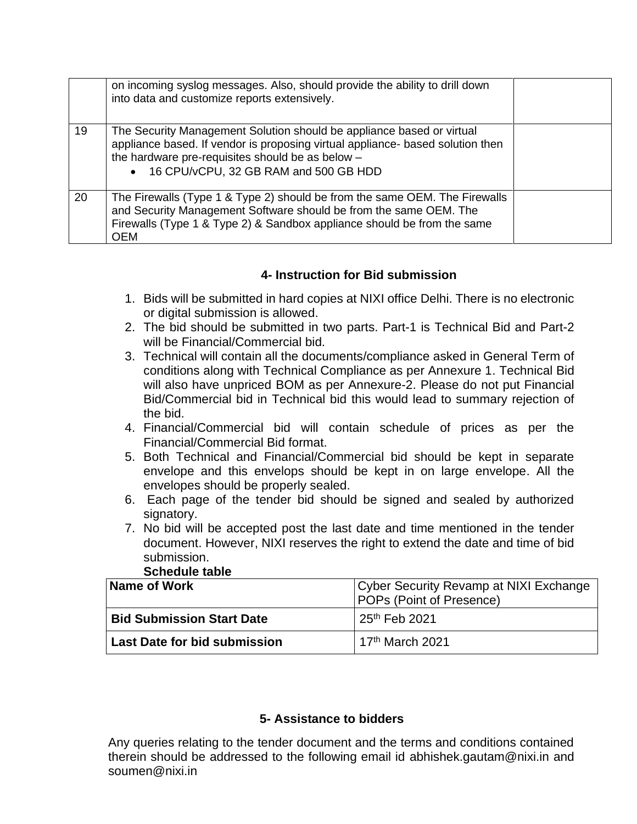|    | on incoming syslog messages. Also, should provide the ability to drill down<br>into data and customize reports extensively.                                                                                                                            |  |
|----|--------------------------------------------------------------------------------------------------------------------------------------------------------------------------------------------------------------------------------------------------------|--|
| 19 | The Security Management Solution should be appliance based or virtual<br>appliance based. If vendor is proposing virtual appliance- based solution then<br>the hardware pre-requisites should be as below -<br>• 16 CPU/vCPU, 32 GB RAM and 500 GB HDD |  |
| 20 | The Firewalls (Type 1 & Type 2) should be from the same OEM. The Firewalls<br>and Security Management Software should be from the same OEM. The<br>Firewalls (Type 1 & Type 2) & Sandbox appliance should be from the same<br><b>OEM</b>               |  |

# **4- Instruction for Bid submission**

- 1. Bids will be submitted in hard copies at NIXI office Delhi. There is no electronic or digital submission is allowed.
- 2. The bid should be submitted in two parts. Part-1 is Technical Bid and Part-2 will be Financial/Commercial bid.
- 3. Technical will contain all the documents/compliance asked in General Term of conditions along with Technical Compliance as per Annexure 1. Technical Bid will also have unpriced BOM as per Annexure-2. Please do not put Financial Bid/Commercial bid in Technical bid this would lead to summary rejection of the bid.
- 4. Financial/Commercial bid will contain schedule of prices as per the Financial/Commercial Bid format.
- 5. Both Technical and Financial/Commercial bid should be kept in separate envelope and this envelops should be kept in on large envelope. All the envelopes should be properly sealed.
- 6. Each page of the tender bid should be signed and sealed by authorized signatory.
- 7. No bid will be accepted post the last date and time mentioned in the tender document. However, NIXI reserves the right to extend the date and time of bid submission.

| <b>OUTCANIC LANIC</b>            |                                                                           |  |  |
|----------------------------------|---------------------------------------------------------------------------|--|--|
| Name of Work                     | Cyber Security Revamp at NIXI Exchange<br><b>POPs (Point of Presence)</b> |  |  |
| <b>Bid Submission Start Date</b> | 25 <sup>th</sup> Feb 2021                                                 |  |  |
| Last Date for bid submission     | 17 <sup>th</sup> March 2021                                               |  |  |

## **Schedule table**

## **5- Assistance to bidders**

Any queries relating to the tender document and the terms and conditions contained therein should be addressed to the following email id [abhishek.gautam@nixi.in](mailto:abhishek.gautam@nixi.in) and soumen@nixi.in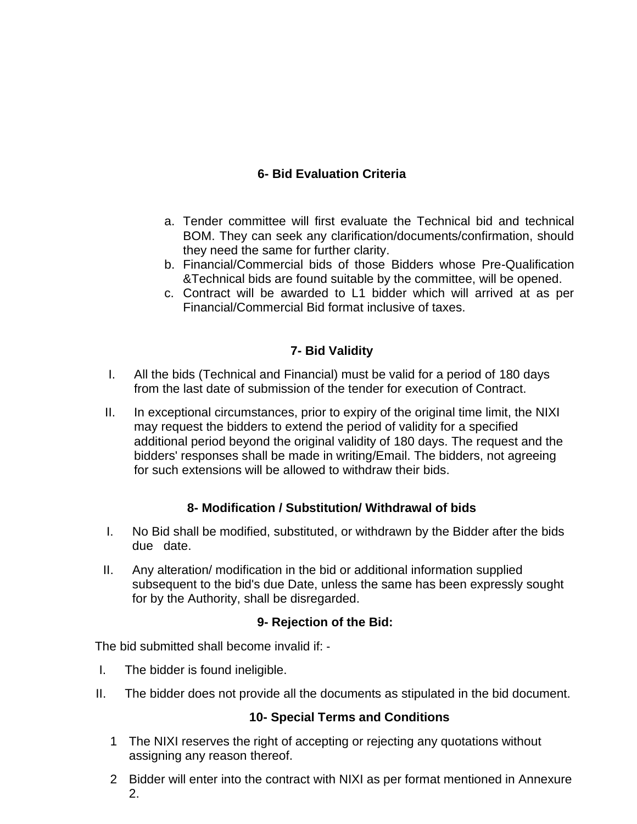# **6- Bid Evaluation Criteria**

- a. Tender committee will first evaluate the Technical bid and technical BOM. They can seek any clarification/documents/confirmation, should they need the same for further clarity.
- b. Financial/Commercial bids of those Bidders whose Pre-Qualification &Technical bids are found suitable by the committee, will be opened.
- c. Contract will be awarded to L1 bidder which will arrived at as per Financial/Commercial Bid format inclusive of taxes.

## **7- Bid Validity**

- I. All the bids (Technical and Financial) must be valid for a period of 180 days from the last date of submission of the tender for execution of Contract.
- II. In exceptional circumstances, prior to expiry of the original time limit, the NIXI may request the bidders to extend the period of validity for a specified additional period beyond the original validity of 180 days. The request and the bidders' responses shall be made in writing/Email. The bidders, not agreeing for such extensions will be allowed to withdraw their bids.

## **8- Modification / Substitution/ Withdrawal of bids**

- I. No Bid shall be modified, substituted, or withdrawn by the Bidder after the bids due date.
- II. Any alteration/ modification in the bid or additional information supplied subsequent to the bid's due Date, unless the same has been expressly sought for by the Authority, shall be disregarded.

## **9- Rejection of the Bid:**

The bid submitted shall become invalid if: ‐

- I. The bidder is found ineligible.
- II. The bidder does not provide all the documents as stipulated in the bid document.

## **10- Special Terms and Conditions**

- 1 The NIXI reserves the right of accepting or rejecting any quotations without assigning any reason thereof.
- 2 Bidder will enter into the contract with NIXI as per format mentioned in Annexure 2.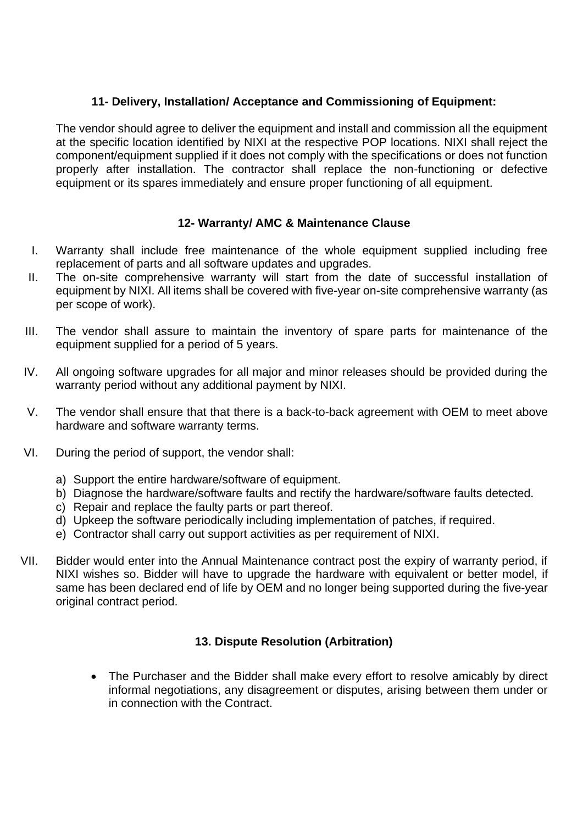## **11- Delivery, Installation/ Acceptance and Commissioning of Equipment:**

The vendor should agree to deliver the equipment and install and commission all the equipment at the specific location identified by NIXI at the respective POP locations. NIXI shall reject the component/equipment supplied if it does not comply with the specifications or does not function properly after installation. The contractor shall replace the non-functioning or defective equipment or its spares immediately and ensure proper functioning of all equipment.

## **12- Warranty/ AMC & Maintenance Clause**

- I. Warranty shall include free maintenance of the whole equipment supplied including free replacement of parts and all software updates and upgrades.
- II. The on-site comprehensive warranty will start from the date of successful installation of equipment by NIXI. All items shall be covered with five-year on-site comprehensive warranty (as per scope of work).
- III. The vendor shall assure to maintain the inventory of spare parts for maintenance of the equipment supplied for a period of 5 years.
- IV. All ongoing software upgrades for all major and minor releases should be provided during the warranty period without any additional payment by NIXI.
- V. The vendor shall ensure that that there is a back-to-back agreement with OEM to meet above hardware and software warranty terms.
- VI. During the period of support, the vendor shall:
	- a) Support the entire hardware/software of equipment.
	- b) Diagnose the hardware/software faults and rectify the hardware/software faults detected.
	- c) Repair and replace the faulty parts or part thereof.
	- d) Upkeep the software periodically including implementation of patches, if required.
	- e) Contractor shall carry out support activities as per requirement of NIXI.
- VII. Bidder would enter into the Annual Maintenance contract post the expiry of warranty period, if NIXI wishes so. Bidder will have to upgrade the hardware with equivalent or better model, if same has been declared end of life by OEM and no longer being supported during the five-year original contract period.

## **13. Dispute Resolution (Arbitration)**

• The Purchaser and the Bidder shall make every effort to resolve amicably by direct informal negotiations, any disagreement or disputes, arising between them under or in connection with the Contract.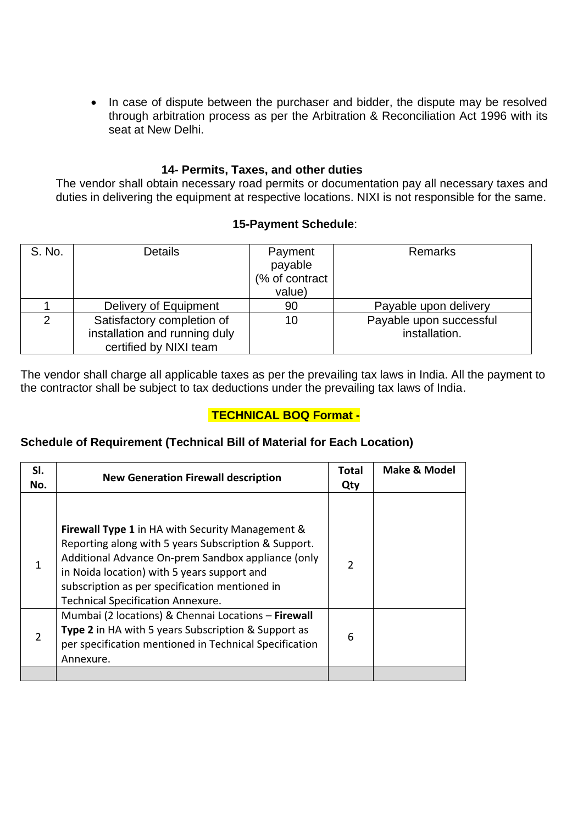• In case of dispute between the purchaser and bidder, the dispute may be resolved through arbitration process as per the Arbitration & Reconciliation Act 1996 with its seat at New Delhi.

#### **14- Permits, Taxes, and other duties**

The vendor shall obtain necessary road permits or documentation pay all necessary taxes and duties in delivering the equipment at respective locations. NIXI is not responsible for the same.

#### **15-Payment Schedule**:

| S. No.        | <b>Details</b>                | Payment        | <b>Remarks</b>          |
|---------------|-------------------------------|----------------|-------------------------|
|               |                               | payable        |                         |
|               |                               | (% of contract |                         |
|               |                               | value)         |                         |
|               | Delivery of Equipment         | 90             | Payable upon delivery   |
| $\mathcal{P}$ | Satisfactory completion of    | 10             | Payable upon successful |
|               | installation and running duly |                | installation.           |
|               | certified by NIXI team        |                |                         |

The vendor shall charge all applicable taxes as per the prevailing tax laws in India. All the payment to the contractor shall be subject to tax deductions under the prevailing tax laws of India.

# **TECHNICAL BOQ Format -**

## **Schedule of Requirement (Technical Bill of Material for Each Location)**

| SI.<br>No.    | <b>New Generation Firewall description</b>                                                                                                                                                                                                                                                                         |   | <b>Make &amp; Model</b> |
|---------------|--------------------------------------------------------------------------------------------------------------------------------------------------------------------------------------------------------------------------------------------------------------------------------------------------------------------|---|-------------------------|
|               | <b>Firewall Type 1</b> in HA with Security Management &<br>Reporting along with 5 years Subscription & Support.<br>Additional Advance On-prem Sandbox appliance (only<br>in Noida location) with 5 years support and<br>subscription as per specification mentioned in<br><b>Technical Specification Annexure.</b> | 2 |                         |
| $\mathcal{P}$ | Mumbai (2 locations) & Chennai Locations - Firewall<br><b>Type 2</b> in HA with 5 years Subscription & Support as<br>per specification mentioned in Technical Specification<br>Annexure.                                                                                                                           | 6 |                         |
|               |                                                                                                                                                                                                                                                                                                                    |   |                         |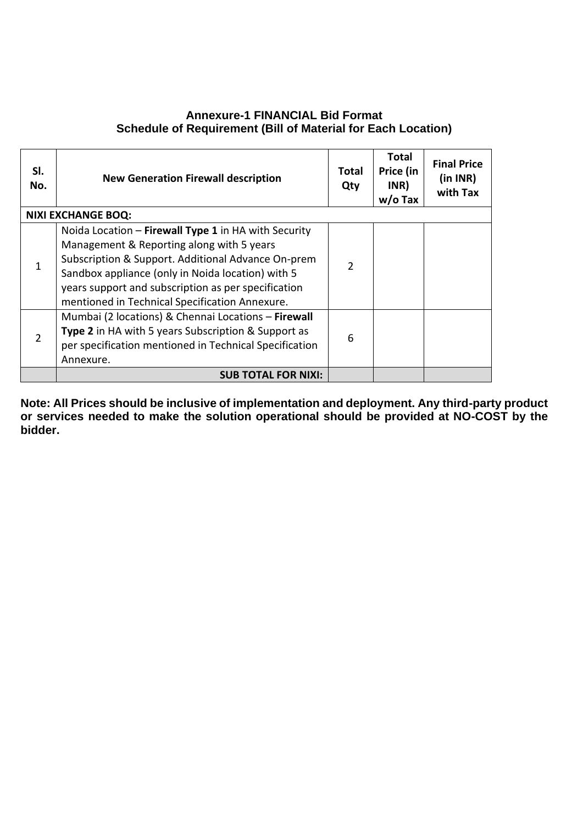#### **Annexure-1 FINANCIAL Bid Format Schedule of Requirement (Bill of Material for Each Location)**

| SI.<br>No. | <b>New Generation Firewall description</b>                                                                                                                                                                                                                                                                            | Total<br>Qty   | <b>Total</b><br>Price (in<br>INR)<br>$w/o$ Tax | <b>Final Price</b><br>(in INR)<br>with Tax |
|------------|-----------------------------------------------------------------------------------------------------------------------------------------------------------------------------------------------------------------------------------------------------------------------------------------------------------------------|----------------|------------------------------------------------|--------------------------------------------|
|            | <b>NIXI EXCHANGE BOQ:</b>                                                                                                                                                                                                                                                                                             |                |                                                |                                            |
| 1          | Noida Location - Firewall Type 1 in HA with Security<br>Management & Reporting along with 5 years<br>Subscription & Support. Additional Advance On-prem<br>Sandbox appliance (only in Noida location) with 5<br>years support and subscription as per specification<br>mentioned in Technical Specification Annexure. | $\overline{2}$ |                                                |                                            |
| 2          | Mumbai (2 locations) & Chennai Locations - Firewall<br>Type 2 in HA with 5 years Subscription & Support as<br>per specification mentioned in Technical Specification<br>Annexure.                                                                                                                                     | 6              |                                                |                                            |
|            | <b>SUB TOTAL FOR NIXI:</b>                                                                                                                                                                                                                                                                                            |                |                                                |                                            |

**Note: All Prices should be inclusive of implementation and deployment. Any third-party product or services needed to make the solution operational should be provided at NO-COST by the bidder.**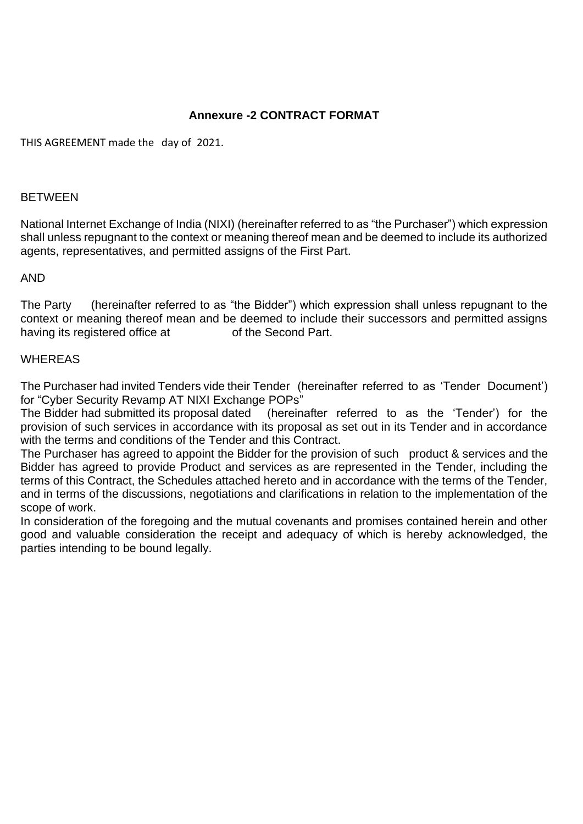## **Annexure -2 CONTRACT FORMAT**

THIS AGREEMENT made the day of 2021.

#### BETWEEN

National Internet Exchange of India (NIXI) (hereinafter referred to as "the Purchaser") which expression shall unless repugnant to the context or meaning thereof mean and be deemed to include its authorized agents, representatives, and permitted assigns of the First Part.

#### AND

The Party (hereinafter referred to as "the Bidder") which expression shall unless repugnant to the context or meaning thereof mean and be deemed to include their successors and permitted assigns having its registered office at of the Second Part.

#### WHEREAS

The Purchaser had invited Tenders vide their Tender (hereinafter referred to as 'Tender Document') for "Cyber Security Revamp AT NIXI Exchange POPs"

The Bidder had submitted its proposal dated (hereinafter referred to as the 'Tender') for the provision of such services in accordance with its proposal as set out in its Tender and in accordance with the terms and conditions of the Tender and this Contract.

The Purchaser has agreed to appoint the Bidder for the provision of such product & services and the Bidder has agreed to provide Product and services as are represented in the Tender, including the terms of this Contract, the Schedules attached hereto and in accordance with the terms of the Tender, and in terms of the discussions, negotiations and clarifications in relation to the implementation of the scope of work.

In consideration of the foregoing and the mutual covenants and promises contained herein and other good and valuable consideration the receipt and adequacy of which is hereby acknowledged, the parties intending to be bound legally.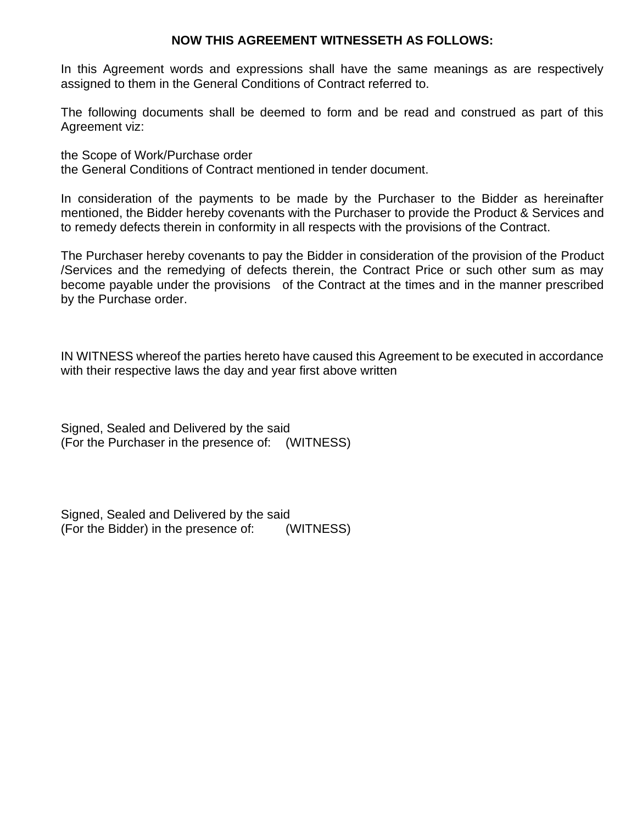#### **NOW THIS AGREEMENT WITNESSETH AS FOLLOWS:**

In this Agreement words and expressions shall have the same meanings as are respectively assigned to them in the General Conditions of Contract referred to.

The following documents shall be deemed to form and be read and construed as part of this Agreement viz:

the Scope of Work/Purchase order the General Conditions of Contract mentioned in tender document.

In consideration of the payments to be made by the Purchaser to the Bidder as hereinafter mentioned, the Bidder hereby covenants with the Purchaser to provide the Product & Services and to remedy defects therein in conformity in all respects with the provisions of the Contract.

The Purchaser hereby covenants to pay the Bidder in consideration of the provision of the Product /Services and the remedying of defects therein, the Contract Price or such other sum as may become payable under the provisions of the Contract at the times and in the manner prescribed by the Purchase order.

IN WITNESS whereof the parties hereto have caused this Agreement to be executed in accordance with their respective laws the day and year first above written

Signed, Sealed and Delivered by the said (For the Purchaser in the presence of: (WITNESS)

Signed, Sealed and Delivered by the said (For the Bidder) in the presence of: (WITNESS)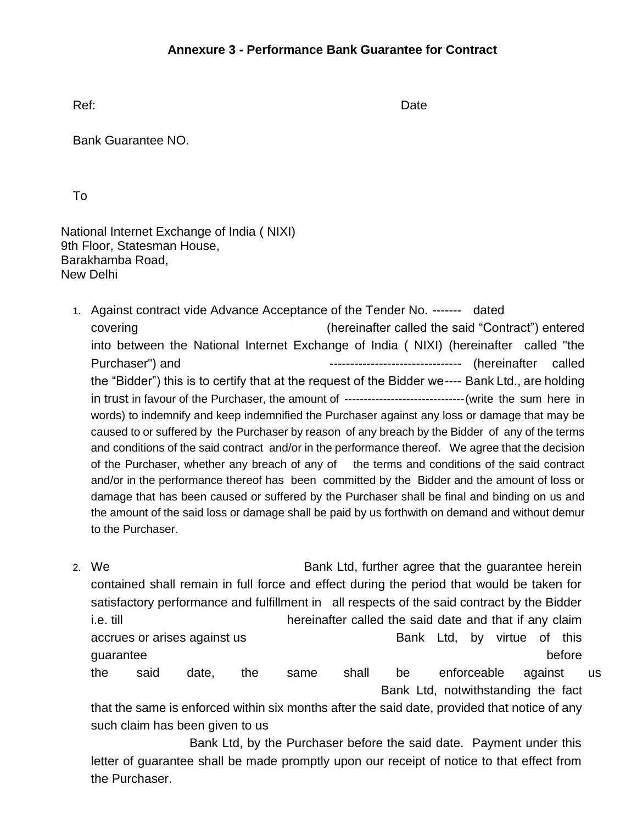Ref: Date Contract Contract Contract Contract Contract Contract Contract Contract Contract Contract Contract Contract Contract Contract Contract Contract Contract Contract Contract Contract Contract Contract Contract Contr

Bank Guarantee NO.

To

National Internet Exchange of India ( NIXI) 9th Floor, Statesman House, Barakhamba Road, New Delhi

- 1. Against contract vide Advance Acceptance of the Tender No. ------- dated covering (hereinafter called the said "Contract") entered into between the National Internet Exchange of India ( NIXI) (hereinafter called "the Purchaser") and  $\qquad \qquad \qquad \qquad \qquad \qquad \qquad \qquad \qquad \qquad \qquad$  (hereinafter called the "Bidder") this is to certify that at the request of the Bidder we---- Bank Ltd., are holding in trust in favour of the Purchaser, the amount of --------------------------------(write the sum here in words) to indemnify and keep indemnified the Purchaser against any loss or damage that may be caused to or suffered by the Purchaser by reason of any breach by the Bidder of any of the terms and conditions of the said contract and/or in the performance thereof. We agree that the decision of the Purchaser, whether any breach of any of the terms and conditions of the said contract and/or in the performance thereof has been committed by the Bidder and the amount of loss or damage that has been caused or suffered by the Purchaser shall be final and binding on us and the amount of the said loss or damage shall be paid by us forthwith on demand and without demur to the Purchaser.
- 2. We **Bank Ltd, further agree that the guarantee herein** contained shall remain in full force and effect during the period that would be taken for satisfactory performance and fulfillment in all respects of the said contract by the Bidder i.e. till hereinafter called the said date and that if any claim accrues or arises against us **Bank Ltd**, by virtue of this guarantee before before before before before before before before before before before before before before before  $\sim$ the said date, the same shall be enforceable against us Bank Ltd, notwithstanding the fact

that the same is enforced within six months after the said date, provided that notice of any such claim has been given to us

Bank Ltd, by the Purchaser before the said date. Payment under this letter of guarantee shall be made promptly upon our receipt of notice to that effect from the Purchaser.